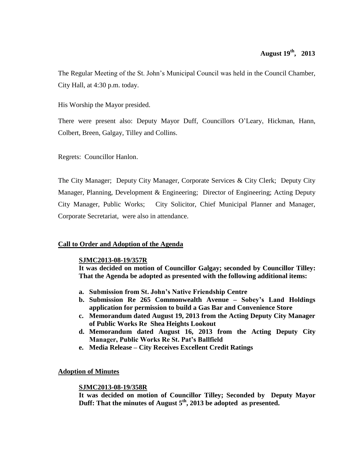The Regular Meeting of the St. John's Municipal Council was held in the Council Chamber, City Hall, at 4:30 p.m. today.

His Worship the Mayor presided.

There were present also: Deputy Mayor Duff, Councillors O'Leary, Hickman, Hann, Colbert, Breen, Galgay, Tilley and Collins.

Regrets: Councillor Hanlon.

The City Manager; Deputy City Manager, Corporate Services & City Clerk; Deputy City Manager, Planning, Development & Engineering; Director of Engineering; Acting Deputy City Manager, Public Works; City Solicitor, Chief Municipal Planner and Manager, Corporate Secretariat, were also in attendance.

## **Call to Order and Adoption of the Agenda**

## **SJMC2013-08-19/357R**

**It was decided on motion of Councillor Galgay; seconded by Councillor Tilley: That the Agenda be adopted as presented with the following additional items:**

- **a. Submission from St. John's Native Friendship Centre**
- **b. Submission Re 265 Commonwealth Avenue – Sobey's Land Holdings application for permission to build a Gas Bar and Convenience Store**
- **c. Memorandum dated August 19, 2013 from the Acting Deputy City Manager of Public Works Re Shea Heights Lookout**
- **d. Memorandum dated August 16, 2013 from the Acting Deputy City Manager, Public Works Re St. Pat's Ballfield**
- **e. Media Release – City Receives Excellent Credit Ratings**

## **Adoption of Minutes**

## **SJMC2013-08-19/358R**

**It was decided on motion of Councillor Tilley; Seconded by Deputy Mayor Duff: That the minutes of August 5th , 2013 be adopted as presented.**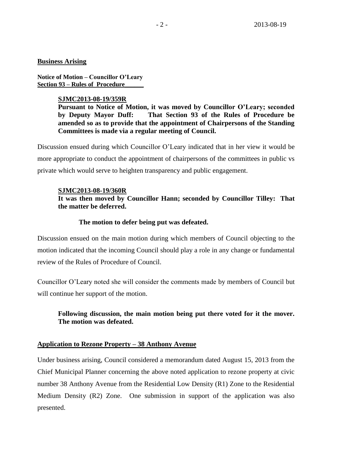#### **Business Arising**

**Notice of Motion – Councillor O'Leary Section 93 – Rules of Procedure\_\_\_\_\_\_**

#### **SJMC2013-08-19/359R**

**Pursuant to Notice of Motion, it was moved by Councillor O'Leary; seconded by Deputy Mayor Duff: That Section 93 of the Rules of Procedure be amended so as to provide that the appointment of Chairpersons of the Standing Committees is made via a regular meeting of Council.**

Discussion ensued during which Councillor O'Leary indicated that in her view it would be more appropriate to conduct the appointment of chairpersons of the committees in public vs private which would serve to heighten transparency and public engagement.

#### **SJMC2013-08-19/360R**

## **It was then moved by Councillor Hann; seconded by Councillor Tilley: That the matter be deferred.**

#### **The motion to defer being put was defeated.**

Discussion ensued on the main motion during which members of Council objecting to the motion indicated that the incoming Council should play a role in any change or fundamental review of the Rules of Procedure of Council.

Councillor O'Leary noted she will consider the comments made by members of Council but will continue her support of the motion.

## **Following discussion, the main motion being put there voted for it the mover. The motion was defeated.**

## **Application to Rezone Property – 38 Anthony Avenue**

Under business arising, Council considered a memorandum dated August 15, 2013 from the Chief Municipal Planner concerning the above noted application to rezone property at civic number 38 Anthony Avenue from the Residential Low Density (R1) Zone to the Residential Medium Density (R2) Zone. One submission in support of the application was also presented.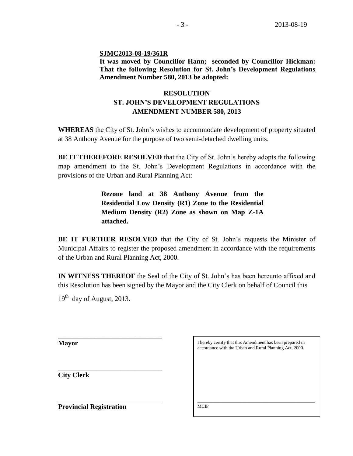**SJMC2013-08-19/361R**

**It was moved by Councillor Hann; seconded by Councillor Hickman: That the following Resolution for St. John's Development Regulations Amendment Number 580, 2013 be adopted:**

# **RESOLUTION ST. JOHN'S DEVELOPMENT REGULATIONS AMENDMENT NUMBER 580, 2013**

**WHEREAS** the City of St. John's wishes to accommodate development of property situated at 38 Anthony Avenue for the purpose of two semi-detached dwelling units.

**BE IT THEREFORE RESOLVED** that the City of St. John's hereby adopts the following map amendment to the St. John's Development Regulations in accordance with the provisions of the Urban and Rural Planning Act:

> **Rezone land at 38 Anthony Avenue from the Residential Low Density (R1) Zone to the Residential Medium Density (R2) Zone as shown on Map Z-1A attached.**

**BE IT FURTHER RESOLVED** that the City of St. John's requests the Minister of Municipal Affairs to register the proposed amendment in accordance with the requirements of the Urban and Rural Planning Act, 2000.

**IN WITNESS THEREOF** the Seal of the City of St. John's has been hereunto affixed and this Resolution has been signed by the Mayor and the City Clerk on behalf of Council this

19<sup>th</sup> day of August, 2013.

**\_\_\_\_\_\_\_\_\_\_\_\_\_\_\_\_\_\_\_\_\_\_\_\_\_\_\_\_\_\_**

**\_\_\_\_\_\_\_\_\_\_\_\_\_\_\_\_\_\_\_\_\_\_\_\_\_\_\_\_\_\_** 

**Mayor**

**City Clerk**

**Provincial Registration**

| accordance with the Urban and Rural Planning Act, 2000. |  |  |  |
|---------------------------------------------------------|--|--|--|
|                                                         |  |  |  |
|                                                         |  |  |  |
|                                                         |  |  |  |
|                                                         |  |  |  |
|                                                         |  |  |  |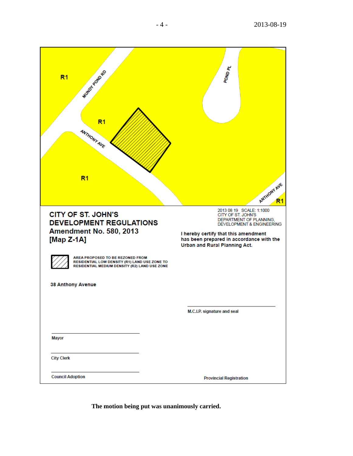| WINDY POIND RD<br>R <sub>1</sub><br>R <sub>1</sub><br>ANTHONY AVE<br>R <sub>1</sub>                                                | POND <sub>PL</sub><br>ANTHONY AVE                                                                                                                                                          |
|------------------------------------------------------------------------------------------------------------------------------------|--------------------------------------------------------------------------------------------------------------------------------------------------------------------------------------------|
| <b>CITY OF ST. JOHN'S</b><br><b>DEVELOPMENT REGULATIONS</b><br>Amendment No. 580, 2013<br>[Map $Z-1A$ ]                            | 2013 08 19 SCALE: 1:1000<br>CITY OF ST. JOHN'S<br>DEPARTMENT OF PLANNING,<br>DEVELOPMENT & ENGINEERING<br>I hereby certify that this amendment<br>has been prepared in accordance with the |
|                                                                                                                                    | Urban and Rural Planning Act.                                                                                                                                                              |
| AREA PROPOSED TO BE REZONED FROM<br>RESIDENTIAL LOW DENSITY (R1) LAND USE ZONE TO<br>RESIDENTIAL MEDIUM DENSITY (R2) LAND USE ZONE |                                                                                                                                                                                            |
| <b>38 Anthony Avenue</b>                                                                                                           |                                                                                                                                                                                            |
|                                                                                                                                    |                                                                                                                                                                                            |
|                                                                                                                                    | M.C.I.P. signature and seal                                                                                                                                                                |
|                                                                                                                                    |                                                                                                                                                                                            |
| <b>Mayor</b>                                                                                                                       |                                                                                                                                                                                            |
| <b>City Clerk</b>                                                                                                                  |                                                                                                                                                                                            |
| <b>Council Adoption</b>                                                                                                            | <b>Provincial Registration</b>                                                                                                                                                             |

**The motion being put was unanimously carried.**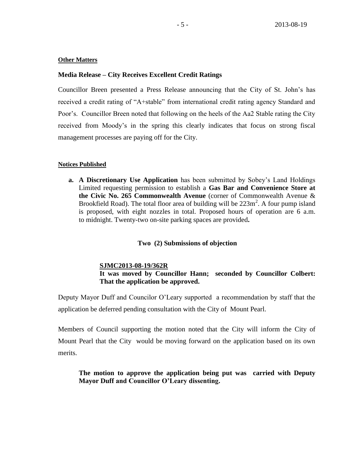#### **Other Matters**

#### **Media Release – City Receives Excellent Credit Ratings**

Councillor Breen presented a Press Release announcing that the City of St. John's has received a credit rating of "A+stable" from international credit rating agency Standard and Poor's. Councillor Breen noted that following on the heels of the Aa2 Stable rating the City received from Moody's in the spring this clearly indicates that focus on strong fiscal management processes are paying off for the City.

#### **Notices Published**

**a. A Discretionary Use Application** has been submitted by Sobey's Land Holdings Limited requesting permission to establish a **Gas Bar and Convenience Store at the Civic No. 265 Commonwealth Avenue** (corner of Commonwealth Avenue & Brookfield Road). The total floor area of building will be  $223m^2$ . A four pump island is proposed, with eight nozzles in total. Proposed hours of operation are 6 a.m. to midnight. Twenty-two on-site parking spaces are provided**.** 

#### **Two (2) Submissions of objection**

#### **SJMC2013-08-19/362R**

## **It was moved by Councillor Hann; seconded by Councillor Colbert: That the application be approved.**

Deputy Mayor Duff and Councilor O'Leary supported a recommendation by staff that the application be deferred pending consultation with the City of Mount Pearl.

Members of Council supporting the motion noted that the City will inform the City of Mount Pearl that the City would be moving forward on the application based on its own merits.

## **The motion to approve the application being put was carried with Deputy Mayor Duff and Councillor O'Leary dissenting.**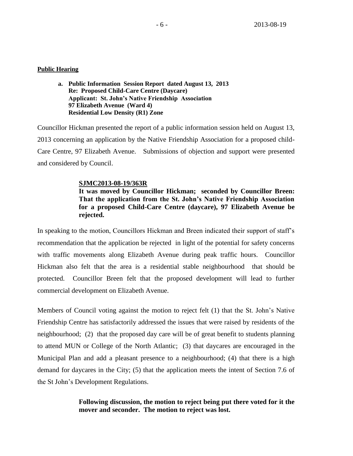#### **Public Hearing**

**a. Public Information Session Report dated August 13, 2013 Re: Proposed Child-Care Centre (Daycare) Applicant: St. John's Native Friendship Association 97 Elizabeth Avenue (Ward 4) Residential Low Density (R1) Zone**

Councillor Hickman presented the report of a public information session held on August 13, 2013 concerning an application by the Native Friendship Association for a proposed child-Care Centre, 97 Elizabeth Avenue. Submissions of objection and support were presented and considered by Council.

#### **SJMC2013-08-19/363R**

**It was moved by Councillor Hickman; seconded by Councillor Breen: That the application from the St. John's Native Friendship Association for a proposed Child-Care Centre (daycare), 97 Elizabeth Avenue be rejected.**

In speaking to the motion, Councillors Hickman and Breen indicated their support of staff's recommendation that the application be rejected in light of the potential for safety concerns with traffic movements along Elizabeth Avenue during peak traffic hours. Councillor Hickman also felt that the area is a residential stable neighbourhood that should be protected. Councillor Breen felt that the proposed development will lead to further commercial development on Elizabeth Avenue.

Members of Council voting against the motion to reject felt (1) that the St. John's Native Friendship Centre has satisfactorily addressed the issues that were raised by residents of the neighbourhood; (2) that the proposed day care will be of great benefit to students planning to attend MUN or College of the North Atlantic; (3) that daycares are encouraged in the Municipal Plan and add a pleasant presence to a neighbourhood; (4) that there is a high demand for daycares in the City; (5) that the application meets the intent of Section 7.6 of the St John's Development Regulations.

## **Following discussion, the motion to reject being put there voted for it the mover and seconder. The motion to reject was lost.**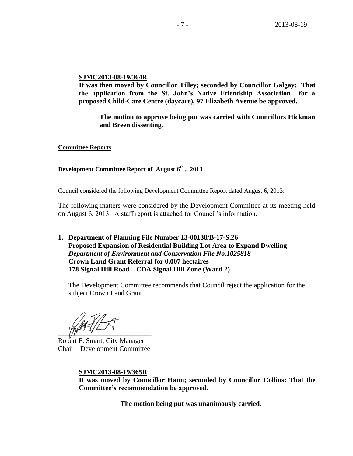#### **SJMC2013-08-19/364R**

**It was then moved by Councillor Tilley; seconded by Councillor Galgay: That the application from the St. John's Native Friendship Association for a proposed Child-Care Centre (daycare), 97 Elizabeth Avenue be approved.** 

**The motion to approve being put was carried with Councillors Hickman and Breen dissenting.**

**Committee Reports**

## **Development Committee Report of August 6th , 2013**

Council considered the following Development Committee Report dated August 6, 2013:

The following matters were considered by the Development Committee at its meeting held on August 6, 2013. A staff report is attached for Council's information.

**1. Department of Planning File Number 13-00138/B-17-S.26 Proposed Expansion of Residential Building Lot Area to Expand Dwelling** *Department of Environment and Conservation File No.1025818* **Crown Land Grant Referral for 0.007 hectaires 178 Signal Hill Road – CDA Signal Hill Zone (Ward 2)**

The Development Committee recommends that Council reject the application for the subject Crown Land Grant.

 $\frac{1}{2}$ 

Robert F. Smart, City Manager Chair – Development Committee

**SJMC2013-08-19/365R It was moved by Councillor Hann; seconded by Councillor Collins: That the Committee's recommendation be approved.**

**The motion being put was unanimously carried.**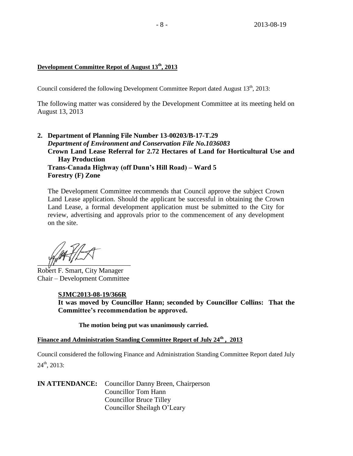## **Development Committee Repot of August 13th, 2013**

Council considered the following Development Committee Report dated August 13<sup>th</sup>, 2013:

The following matter was considered by the Development Committee at its meeting held on August 13, 2013

**2. Department of Planning File Number 13-00203/B-17-T.29**  *Department of Environment and Conservation File No.1036083* **Crown Land Lease Referral for 2.72 Hectares of Land for Horticultural Use and Hay Production Trans-Canada Highway (off Dunn's Hill Road) – Ward 5 Forestry (F) Zone**

The Development Committee recommends that Council approve the subject Crown Land Lease application. Should the applicant be successful in obtaining the Crown Land Lease, a formal development application must be submitted to the City for review, advertising and approvals prior to the commencement of any development on the site.

 $\frac{1}{2}$ 

Robert F. Smart, City Manager Chair – Development Committee

#### **SJMC2013-08-19/366R**

**It was moved by Councillor Hann; seconded by Councillor Collins: That the Committee's recommendation be approved.**

**The motion being put was unanimously carried.**

#### **Finance and Administration Standing Committee Report of July 24th , 2013**

Council considered the following Finance and Administration Standing Committee Report dated July  $24<sup>th</sup>$ , 2013:

**IN ATTENDANCE:** Councillor Danny Breen, Chairperson Councillor Tom Hann Councillor Bruce Tilley Councillor Sheilagh O'Leary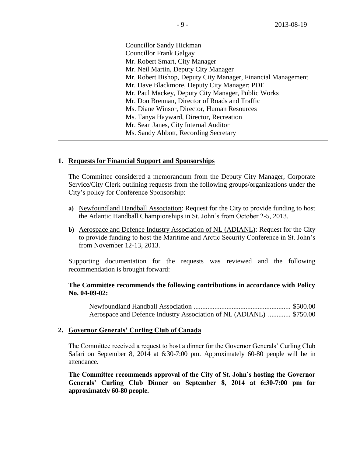Councillor Sandy Hickman Councillor Frank Galgay Mr. Robert Smart, City Manager Mr. Neil Martin, Deputy City Manager Mr. Robert Bishop, Deputy City Manager, Financial Management Mr. Dave Blackmore, Deputy City Manager; PDE Mr. Paul Mackey, Deputy City Manager, Public Works Mr. Don Brennan, Director of Roads and Traffic Ms. Diane Winsor, Director, Human Resources Ms. Tanya Hayward, Director, Recreation Mr. Sean Janes, City Internal Auditor Ms. Sandy Abbott, Recording Secretary

#### **1. Requests for Financial Support and Sponsorships**

The Committee considered a memorandum from the Deputy City Manager, Corporate Service/City Clerk outlining requests from the following groups/organizations under the City's policy for Conference Sponsorship:

- **a)** Newfoundland Handball Association: Request for the City to provide funding to host the Atlantic Handball Championships in St. John's from October 2-5, 2013.
- **b)** Aerospace and Defence Industry Association of NL (ADIANL): Request for the City to provide funding to host the Maritime and Arctic Security Conference in St. John's from November 12-13, 2013.

Supporting documentation for the requests was reviewed and the following recommendation is brought forward:

#### **The Committee recommends the following contributions in accordance with Policy No. 04-09-02:**

Newfoundland Handball Association ........................................................ \$500.00 Aerospace and Defence Industry Association of NL (ADIANL) ............. \$750.00

#### **2. Governor Generals' Curling Club of Canada**

The Committee received a request to host a dinner for the Governor Generals' Curling Club Safari on September 8, 2014 at 6:30-7:00 pm. Approximately 60-80 people will be in attendance.

**The Committee recommends approval of the City of St. John's hosting the Governor Generals' Curling Club Dinner on September 8, 2014 at 6:30-7:00 pm for approximately 60-80 people.**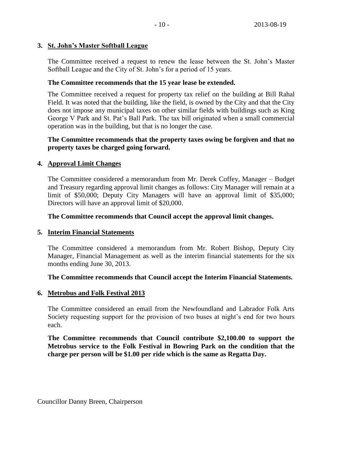## **3. St. John's Master Softball League**

The Committee received a request to renew the lease between the St. John's Master Softball League and the City of St. John's for a period of 15 years.

## **The Committee recommends that the 15 year lease be extended.**

The Committee received a request for property tax relief on the building at Bill Rahal Field. It was noted that the building, like the field, is owned by the City and that the City does not impose any municipal taxes on other similar fields with buildings such as King George V Park and St. Pat's Ball Park. The tax bill originated when a small commercial operation was in the building, but that is no longer the case.

## **The Committee recommends that the property taxes owing be forgiven and that no property taxes be charged going forward.**

## **4. Approval Limit Changes**

The Committee considered a memorandum from Mr. Derek Coffey, Manager – Budget and Treasury regarding approval limit changes as follows: City Manager will remain at a limit of \$50,000; Deputy City Managers will have an approval limit of \$35,000; Directors will have an approval limit of \$20,000.

## **The Committee recommends that Council accept the approval limit changes.**

## **5. Interim Financial Statements**

The Committee considered a memorandum from Mr. Robert Bishop, Deputy City Manager, Financial Management as well as the interim financial statements for the six months ending June 30, 2013.

## **The Committee recommends that Council accept the Interim Financial Statements.**

## **6. Metrobus and Folk Festival 2013**

The Committee considered an email from the Newfoundland and Labrador Folk Arts Society requesting support for the provision of two buses at night's end for two hours each.

**The Committee recommends that Council contribute \$2,100.00 to support the Metrobus service to the Folk Festival in Bowring Park on the condition that the charge per person will be \$1.00 per ride which is the same as Regatta Day.**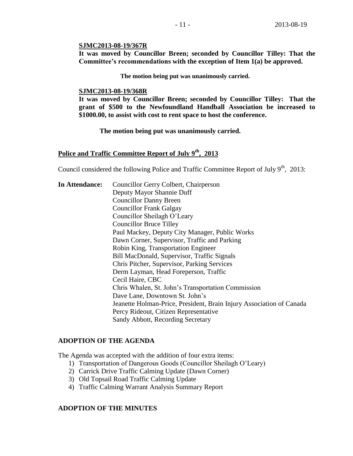#### **SJMC2013-08-19/367R**

**It was moved by Councillor Breen; seconded by Councillor Tilley: That the Committee's recommendations with the exception of Item 1(a) be approved.**

**The motion being put was unanimously carried.**

#### **SJMC2013-08-19/368R**

**It was moved by Councillor Breen; seconded by Councillor Tilley: That the grant of \$500 to the Newfoundland Handball Association be increased to \$1000.00, to assist with cost to rent space to host the conference.**

**The motion being put was unanimously carried.** 

# **Police and Traffic Committee Report of July 9th, 2013**

Council considered the following Police and Traffic Committee Report of July  $9<sup>th</sup>$ , 2013:

**In Attendance:** Councillor Gerry Colbert, Chairperson Deputy Mayor Shannie Duff Councillor Danny Breen Councillor Frank Galgay Councillor Sheilagh O'Leary Councillor Bruce Tilley Paul Mackey, Deputy City Manager, Public Works Dawn Corner, Supervisor, Traffic and Parking Robin King, Transportation Engineer Bill MacDonald, Supervisor, Traffic Signals Chris Pitcher, Supervisor, Parking Services Derm Layman, Head Foreperson, Traffic Cecil Haire, CBC Chris Whalen, St. John's Transportation Commission Dave Lane, Downtown St. John's Jeanette Holman-Price, President, Brain Injury Association of Canada Percy Rideout, Citizen Representative Sandy Abbott, Recording Secretary

#### **ADOPTION OF THE AGENDA**

The Agenda was accepted with the addition of four extra items:

- 1) Transportation of Dangerous Goods (Councillor Sheilagh O'Leary)
- 2) Carrick Drive Traffic Calming Update (Dawn Corner)
- 3) Old Topsail Road Traffic Calming Update
- 4) Traffic Calming Warrant Analysis Summary Report

## **ADOPTION OF THE MINUTES**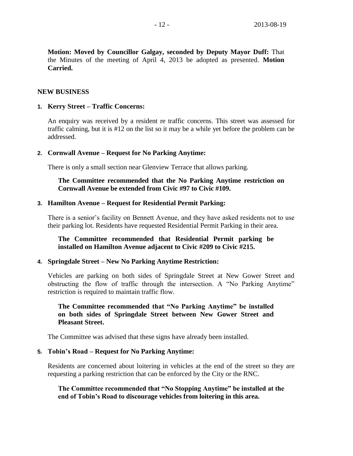**Motion: Moved by Councillor Galgay, seconded by Deputy Mayor Duff:** That the Minutes of the meeting of April 4, 2013 be adopted as presented. **Motion Carried.**

#### **NEW BUSINESS**

#### **1. Kerry Street – Traffic Concerns:**

An enquiry was received by a resident re traffic concerns. This street was assessed for traffic calming, but it is #12 on the list so it may be a while yet before the problem can be addressed.

#### **2. Cornwall Avenue – Request for No Parking Anytime:**

There is only a small section near Glenview Terrace that allows parking.

#### **The Committee recommended that the No Parking Anytime restriction on Cornwall Avenue be extended from Civic #97 to Civic #109.**

#### **3. Hamilton Avenue – Request for Residential Permit Parking:**

There is a senior's facility on Bennett Avenue, and they have asked residents not to use their parking lot. Residents have requested Residential Permit Parking in their area.

## **The Committee recommended that Residential Permit parking be installed on Hamilton Avenue adjacent to Civic #209 to Civic #215.**

#### **4. Springdale Street – New No Parking Anytime Restriction:**

Vehicles are parking on both sides of Springdale Street at New Gower Street and obstructing the flow of traffic through the intersection. A "No Parking Anytime" restriction is required to maintain traffic flow.

## **The Committee recommended that "No Parking Anytime" be installed on both sides of Springdale Street between New Gower Street and Pleasant Street.**

The Committee was advised that these signs have already been installed.

#### **5. Tobin's Road – Request for No Parking Anytime:**

Residents are concerned about loitering in vehicles at the end of the street so they are requesting a parking restriction that can be enforced by the City or the RNC.

**The Committee recommended that "No Stopping Anytime" be installed at the end of Tobin's Road to discourage vehicles from loitering in this area.**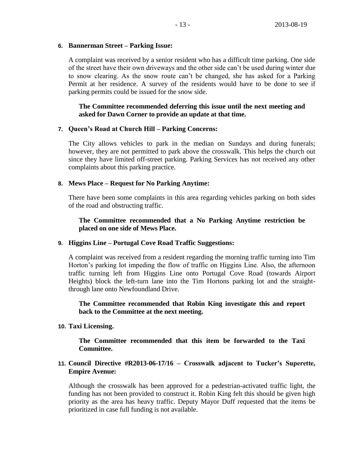## **6. Bannerman Street – Parking Issue:**

A complaint was received by a senior resident who has a difficult time parking. One side of the street have their own driveways and the other side can't be used during winter due to snow clearing. As the snow route can't be changed, she has asked for a Parking Permit at her residence. A survey of the residents would have to be done to see if parking permits could be issued for the snow side.

## **The Committee recommended deferring this issue until the next meeting and asked for Dawn Corner to provide an update at that time.**

#### **7. Queen's Road at Church Hill – Parking Concerns:**

The City allows vehicles to park in the median on Sundays and during funerals; however, they are not permitted to park above the crosswalk. This helps the church out since they have limited off-street parking. Parking Services has not received any other complaints about this parking practice.

#### **8. Mews Place – Request for No Parking Anytime:**

There have been some complaints in this area regarding vehicles parking on both sides of the road and obstructing traffic.

## **The Committee recommended that a No Parking Anytime restriction be placed on one side of Mews Place.**

## **9. Higgins Line – Portugal Cove Road Traffic Suggestions:**

A complaint was received from a resident regarding the morning traffic turning into Tim Horton's parking lot impeding the flow of traffic on Higgins Line. Also, the afternoon traffic turning left from Higgins Line onto Portugal Cove Road (towards Airport Heights) block the left-turn lane into the Tim Hortons parking lot and the straightthrough lane onto Newfoundland Drive.

## **The Committee recommended that Robin King investigate this and report back to the Committee at the next meeting.**

## **10. Taxi Licensing.**

**The Committee recommended that this item be forwarded to the Taxi Committee.**

## **11. Council Directive #R2013-06-17/16 – Crosswalk adjacent to Tucker's Superette, Empire Avenue:**

Although the crosswalk has been approved for a pedestrian-activated traffic light, the funding has not been provided to construct it. Robin King felt this should be given high priority as the area has heavy traffic. Deputy Mayor Duff requested that the items be prioritized in case full funding is not available.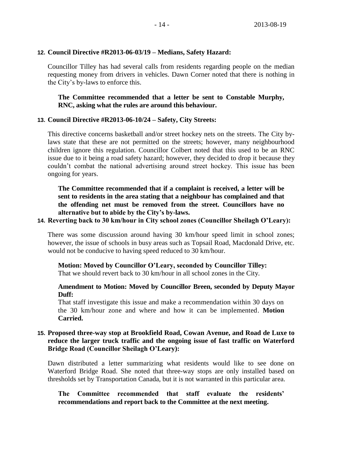#### **12. Council Directive #R2013-06-03/19 – Medians, Safety Hazard:**

Councillor Tilley has had several calls from residents regarding people on the median requesting money from drivers in vehicles. Dawn Corner noted that there is nothing in the City's by-laws to enforce this.

## **The Committee recommended that a letter be sent to Constable Murphy, RNC, asking what the rules are around this behaviour.**

#### **13. Council Directive #R2013-06-10/24 – Safety, City Streets:**

This directive concerns basketball and/or street hockey nets on the streets. The City bylaws state that these are not permitted on the streets; however, many neighbourhood children ignore this regulation. Councillor Colbert noted that this used to be an RNC issue due to it being a road safety hazard; however, they decided to drop it because they couldn't combat the national advertising around street hockey. This issue has been ongoing for years.

**The Committee recommended that if a complaint is received, a letter will be sent to residents in the area stating that a neighbour has complained and that the offending net must be removed from the street. Councillors have no alternative but to abide by the City's by-laws.**

#### **14. Reverting back to 30 km/hour in City school zones (Councillor Sheilagh O'Leary):**

There was some discussion around having 30 km/hour speed limit in school zones; however, the issue of schools in busy areas such as Topsail Road, Macdonald Drive, etc. would not be conducive to having speed reduced to 30 km/hour.

**Motion: Moved by Councillor O'Leary, seconded by Councillor Tilley:**  That we should revert back to 30 km/hour in all school zones in the City.

## **Amendment to Motion: Moved by Councillor Breen, seconded by Deputy Mayor Duff:**

That staff investigate this issue and make a recommendation within 30 days on the 30 km/hour zone and where and how it can be implemented. **Motion Carried.**

## **15. Proposed three-way stop at Brookfield Road, Cowan Avenue, and Road de Luxe to reduce the larger truck traffic and the ongoing issue of fast traffic on Waterford Bridge Road (Councillor Sheilagh O'Leary):**

Dawn distributed a letter summarizing what residents would like to see done on Waterford Bridge Road. She noted that three-way stops are only installed based on thresholds set by Transportation Canada, but it is not warranted in this particular area.

## **The Committee recommended that staff evaluate the residents' recommendations and report back to the Committee at the next meeting.**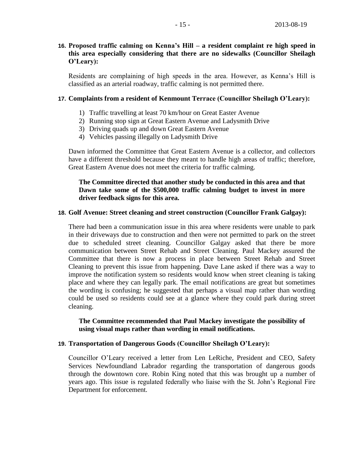## **16. Proposed traffic calming on Kenna's Hill – a resident complaint re high speed in this area especially considering that there are no sidewalks (Councillor Sheilagh O'Leary):**

Residents are complaining of high speeds in the area. However, as Kenna's Hill is classified as an arterial roadway, traffic calming is not permitted there.

#### **17. Complaints from a resident of Kenmount Terrace (Councillor Sheilagh O'Leary):**

- 1) Traffic travelling at least 70 km/hour on Great Easter Avenue
- 2) Running stop sign at Great Eastern Avenue and Ladysmith Drive
- 3) Driving quads up and down Great Eastern Avenue
- 4) Vehicles passing illegally on Ladysmith Drive

Dawn informed the Committee that Great Eastern Avenue is a collector, and collectors have a different threshold because they meant to handle high areas of traffic; therefore, Great Eastern Avenue does not meet the criteria for traffic calming.

## **The Committee directed that another study be conducted in this area and that Dawn take some of the \$500,000 traffic calming budget to invest in more driver feedback signs for this area.**

#### **18. Golf Avenue: Street cleaning and street construction (Councillor Frank Galgay):**

There had been a communication issue in this area where residents were unable to park in their driveways due to construction and then were not permitted to park on the street due to scheduled street cleaning. Councillor Galgay asked that there be more communication between Street Rehab and Street Cleaning. Paul Mackey assured the Committee that there is now a process in place between Street Rehab and Street Cleaning to prevent this issue from happening. Dave Lane asked if there was a way to improve the notification system so residents would know when street cleaning is taking place and where they can legally park. The email notifications are great but sometimes the wording is confusing; he suggested that perhaps a visual map rather than wording could be used so residents could see at a glance where they could park during street cleaning.

#### **The Committee recommended that Paul Mackey investigate the possibility of using visual maps rather than wording in email notifications.**

#### **19. Transportation of Dangerous Goods (Councillor Sheilagh O'Leary):**

Councillor O'Leary received a letter from Len LeRiche, President and CEO, Safety Services Newfoundland Labrador regarding the transportation of dangerous goods through the downtown core. Robin King noted that this was brought up a number of years ago. This issue is regulated federally who liaise with the St. John's Regional Fire Department for enforcement.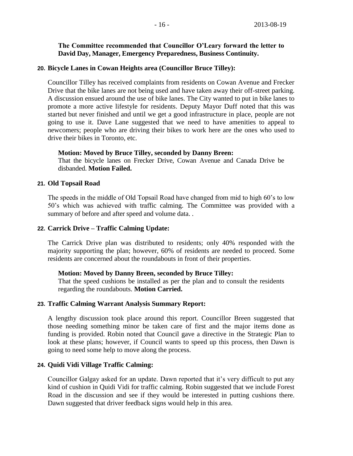## **The Committee recommended that Councillor O'Leary forward the letter to David Day, Manager, Emergency Preparedness, Business Continuity.**

#### **20. Bicycle Lanes in Cowan Heights area (Councillor Bruce Tilley):**

Councillor Tilley has received complaints from residents on Cowan Avenue and Frecker Drive that the bike lanes are not being used and have taken away their off-street parking. A discussion ensued around the use of bike lanes. The City wanted to put in bike lanes to promote a more active lifestyle for residents. Deputy Mayor Duff noted that this was started but never finished and until we get a good infrastructure in place, people are not going to use it. Dave Lane suggested that we need to have amenities to appeal to newcomers; people who are driving their bikes to work here are the ones who used to drive their bikes in Toronto, etc.

#### **Motion: Moved by Bruce Tilley, seconded by Danny Breen:**

That the bicycle lanes on Frecker Drive, Cowan Avenue and Canada Drive be disbanded. **Motion Failed.**

#### **21. Old Topsail Road**

The speeds in the middle of Old Topsail Road have changed from mid to high 60's to low 50's which was achieved with traffic calming. The Committee was provided with a summary of before and after speed and volume data...

## **22. Carrick Drive – Traffic Calming Update:**

The Carrick Drive plan was distributed to residents; only 40% responded with the majority supporting the plan; however, 60% of residents are needed to proceed. Some residents are concerned about the roundabouts in front of their properties.

#### **Motion: Moved by Danny Breen, seconded by Bruce Tilley:**

That the speed cushions be installed as per the plan and to consult the residents regarding the roundabouts. **Motion Carried.**

## **23. Traffic Calming Warrant Analysis Summary Report:**

A lengthy discussion took place around this report. Councillor Breen suggested that those needing something minor be taken care of first and the major items done as funding is provided. Robin noted that Council gave a directive in the Strategic Plan to look at these plans; however, if Council wants to speed up this process, then Dawn is going to need some help to move along the process.

## **24. Quidi Vidi Village Traffic Calming:**

Councillor Galgay asked for an update. Dawn reported that it's very difficult to put any kind of cushion in Quidi Vidi for traffic calming. Robin suggested that we include Forest Road in the discussion and see if they would be interested in putting cushions there. Dawn suggested that driver feedback signs would help in this area.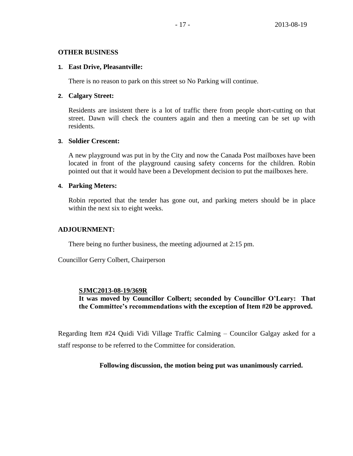#### **OTHER BUSINESS**

#### **1. East Drive, Pleasantville:**

There is no reason to park on this street so No Parking will continue.

#### **2. Calgary Street:**

Residents are insistent there is a lot of traffic there from people short-cutting on that street. Dawn will check the counters again and then a meeting can be set up with residents.

#### **3. Soldier Crescent:**

A new playground was put in by the City and now the Canada Post mailboxes have been located in front of the playground causing safety concerns for the children. Robin pointed out that it would have been a Development decision to put the mailboxes here.

#### **4. Parking Meters:**

Robin reported that the tender has gone out, and parking meters should be in place within the next six to eight weeks.

#### **ADJOURNMENT:**

There being no further business, the meeting adjourned at 2:15 pm.

Councillor Gerry Colbert, Chairperson

#### **SJMC2013-08-19/369R**

**It was moved by Councillor Colbert; seconded by Councillor O'Leary: That the Committee's recommendations with the exception of Item #20 be approved.**

Regarding Item #24 Quidi Vidi Village Traffic Calming – Councilor Galgay asked for a staff response to be referred to the Committee for consideration.

## **Following discussion, the motion being put was unanimously carried.**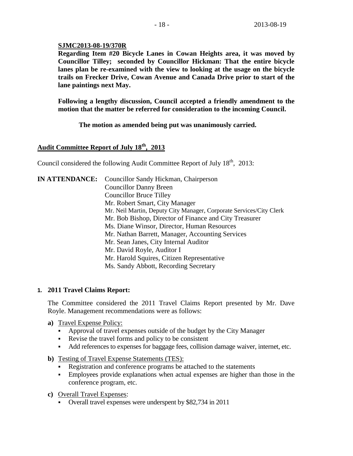#### **SJMC2013-08-19/370R**

**Regarding Item #20 Bicycle Lanes in Cowan Heights area, it was moved by Councillor Tilley; seconded by Councillor Hickman: That the entire bicycle lanes plan be re-examined with the view to looking at the usage on the bicycle trails on Frecker Drive, Cowan Avenue and Canada Drive prior to start of the lane paintings next May.** 

**Following a lengthy discussion, Council accepted a friendly amendment to the motion that the matter be referred for consideration to the incoming Council.**

**The motion as amended being put was unanimously carried.**

## **Audit Committee Report of July 18th, 2013**

Council considered the following Audit Committee Report of July  $18<sup>th</sup>$ , 2013:

| <b>IN ATTENDANCE:</b> | Councillor Sandy Hickman, Chairperson                               |
|-----------------------|---------------------------------------------------------------------|
|                       | <b>Councillor Danny Breen</b>                                       |
|                       | <b>Councillor Bruce Tilley</b>                                      |
|                       | Mr. Robert Smart, City Manager                                      |
|                       | Mr. Neil Martin, Deputy City Manager, Corporate Services/City Clerk |
|                       | Mr. Bob Bishop, Director of Finance and City Treasurer              |
|                       | Ms. Diane Winsor, Director, Human Resources                         |
|                       | Mr. Nathan Barrett, Manager, Accounting Services                    |
|                       | Mr. Sean Janes, City Internal Auditor                               |
|                       | Mr. David Royle, Auditor I                                          |
|                       | Mr. Harold Squires, Citizen Representative                          |
|                       | Ms. Sandy Abbott, Recording Secretary                               |

#### **1. 2011 Travel Claims Report:**

The Committee considered the 2011 Travel Claims Report presented by Mr. Dave Royle. Management recommendations were as follows:

- **a)** Travel Expense Policy:
	- Approval of travel expenses outside of the budget by the City Manager
	- Revise the travel forms and policy to be consistent
	- Add references to expenses for baggage fees, collision damage waiver, internet, etc.
- **b)** Testing of Travel Expense Statements (TES):
	- Registration and conference programs be attached to the statements
	- Employees provide explanations when actual expenses are higher than those in the conference program, etc.
- **c)** Overall Travel Expenses:
	- Overall travel expenses were underspent by \$82,734 in 2011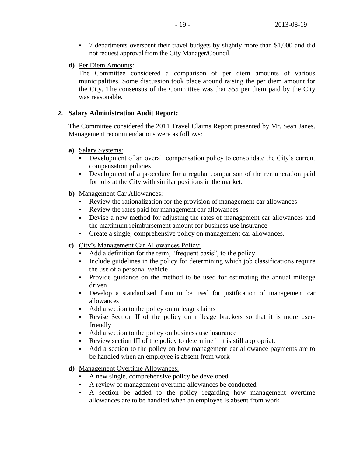- 7 departments overspent their travel budgets by slightly more than \$1,000 and did not request approval from the City Manager/Council.
- **d)** Per Diem Amounts:

The Committee considered a comparison of per diem amounts of various municipalities. Some discussion took place around raising the per diem amount for the City. The consensus of the Committee was that \$55 per diem paid by the City was reasonable.

## **2. Salary Administration Audit Report:**

The Committee considered the 2011 Travel Claims Report presented by Mr. Sean Janes. Management recommendations were as follows:

- **a)** Salary Systems:
	- Development of an overall compensation policy to consolidate the City's current compensation policies
	- Development of a procedure for a regular comparison of the remuneration paid for jobs at the City with similar positions in the market.
- **b)** Management Car Allowances:
	- Review the rationalization for the provision of management car allowances
	- Review the rates paid for management car allowances
	- Devise a new method for adjusting the rates of management car allowances and the maximum reimbursement amount for business use insurance
	- Create a single, comprehensive policy on management car allowances.
- **c)** City's Management Car Allowances Policy:
	- Add a definition for the term, "frequent basis", to the policy
	- Include guidelines in the policy for determining which job classifications require the use of a personal vehicle
	- Provide guidance on the method to be used for estimating the annual mileage driven
	- Develop a standardized form to be used for justification of management car allowances
	- Add a section to the policy on mileage claims
	- Revise Section II of the policy on mileage brackets so that it is more userfriendly
	- Add a section to the policy on business use insurance
	- Review section III of the policy to determine if it is still appropriate
	- Add a section to the policy on how management car allowance payments are to be handled when an employee is absent from work
- **d)** Management Overtime Allowances:
	- A new single, comprehensive policy be developed
	- A review of management overtime allowances be conducted
	- A section be added to the policy regarding how management overtime allowances are to be handled when an employee is absent from work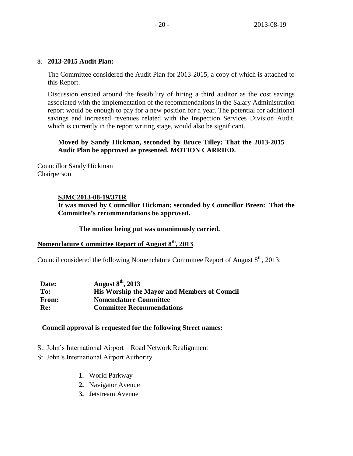#### **3. 2013-2015 Audit Plan:**

The Committee considered the Audit Plan for 2013-2015, a copy of which is attached to this Report.

Discussion ensued around the feasibility of hiring a third auditor as the cost savings associated with the implementation of the recommendations in the Salary Administration report would be enough to pay for a new position for a year. The potential for additional savings and increased revenues related with the Inspection Services Division Audit, which is currently in the report writing stage, would also be significant.

## **Moved by Sandy Hickman, seconded by Bruce Tilley: That the 2013-2015 Audit Plan be approved as presented. MOTION CARRIED.**

Councillor Sandy Hickman Chairperson

## **SJMC2013-08-19/371R**

**It was moved by Councillor Hickman; seconded by Councillor Breen: That the Committee's recommendations be approved.**

#### **The motion being put was unanimously carried.**

## **Nomenclature Committee Report of August 8th, 2013**

Council considered the following Nomenclature Committee Report of August 8<sup>th</sup>, 2013:

| Date:        | August $8^{\text{th}}$ , 2013                       |
|--------------|-----------------------------------------------------|
| To:          | <b>His Worship the Mayor and Members of Council</b> |
| <b>From:</b> | <b>Nomenclature Committee</b>                       |
| Re:          | <b>Committee Recommendations</b>                    |

#### **Council approval is requested for the following Street names:**

St. John's International Airport – Road Network Realignment St. John's International Airport Authority

- **1.** World Parkway
- **2.** Navigator Avenue
- **3.** Jetstream Avenue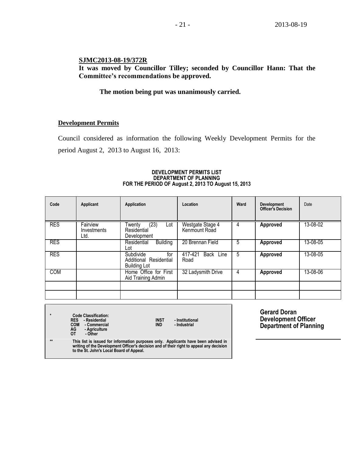## **SJMC2013-08-19/372R**

**It was moved by Councillor Tilley; seconded by Councillor Hann: That the Committee's recommendations be approved.**

## **The motion being put was unanimously carried.**

#### **Development Permits**

Council considered as information the following Weekly Development Permits for the period August 2, 2013 to August 16, 2013:

| Date     |
|----------|
| 13-08-02 |
| 13-08-05 |
| 13-08-05 |
| 13-08-06 |
|          |
|          |

#### **DEVELOPMENT PERMITS LIST DEPARTMENT OF PLANNING FOR THE PERIOD OF August 2, 2013 TO August 15, 2013**

**\* Code Classification: RES - Residential INST - Institutional COM** - **Commercial**<br> **AG** - **Agriculture**<br> **OT** - Other **AG - Agriculture OT - Other**

**Gerard Doran Development Officer Department of Planning**

**\*\* This list is issued for information purposes only. Applicants have been advised in writing of the Development Officer's decision and of their right to appeal any decision to the St. John's Local Board of Appeal.**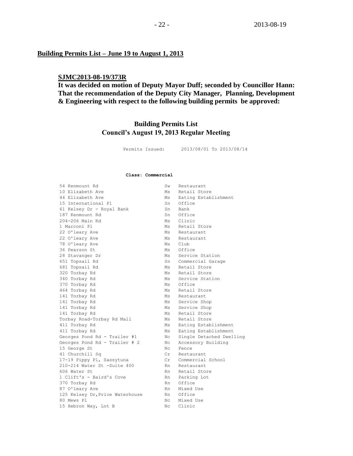#### **Building Permits List – June 19 to August 1, 2013**

## **SJMC2013-08-19/373R**

**It was decided on motion of Deputy Mayor Duff; seconded by Councillor Hann: That the recommendation of the Deputy City Manager, Planning, Development & Engineering with respect to the following building permits be approved:**

## **Building Permits List Council's August 19, 2013 Regular Meeting**

Permits Issued: 2013/08/01 To 2013/08/14

#### **Class: Commercial**

| 54 Kenmount Rd                  | Sw                  | Restaurant               |
|---------------------------------|---------------------|--------------------------|
| 10 Elizabeth Ave                | Ms                  | Retail Store             |
| 44 Elizabeth Ave                | Ms                  | Eating Establishment     |
| 15 International Pl             | Sn                  | Office                   |
| 61 Kelsey Dr - Royal Bank       | Sn                  | Bank                     |
| 187 Kenmount Rd                 | Sn                  | Office                   |
| 204-206 Main Rd                 | Ms                  | Clinic                   |
| 1 Marconi Pl                    | Ms                  | Retail Store             |
| 22 O'leary Ave                  | Ms                  | Restaurant               |
| 22 O'leary Ave                  | Ms                  | Restaurant               |
| 78 O'leary Ave                  |                     | Ms Club                  |
| 36 Pearson St                   |                     | Ms Office                |
| 28 Stavanger Dr                 | Ms                  | Service Station          |
| 651 Topsail Rd                  |                     | Sn Commercial Garage     |
| 681 Topsail Rd                  | Ms                  | Retail Store             |
| 320 Torbay Rd                   | Ms                  | Retail Store             |
| 340 Torbay Rd                   | Ms                  | Service Station          |
| 370 Torbay Rd                   | Ms                  | Office                   |
| 464 Torbay Rd                   | Ms                  | Retail Store             |
| 141 Torbay Rd                   | Ms                  | Restaurant               |
| 141 Torbay Rd                   | Ms                  | Service Shop             |
| 141 Torbay Rd                   | Ms                  | Service Shop             |
| 141 Torbay Rd                   | Ms                  | Retail Store             |
| Torbay Road-Torbay Rd Mall      | Ms                  | Retail Store             |
| 411 Torbay Rd                   | Ms                  | Eating Establishment     |
| 411 Torbay Rd                   | Ms                  | Eating Establishment     |
| Georges Pond Rd - Trailer #1    | Nс                  | Single Detached Dwelling |
| Georges Pond Rd - Trailer # 2   | Nc                  | Accessory Building       |
| 15 George St                    | Nc.                 | Fence                    |
| 41 Churchill Sq                 | Cr                  | Restaurant               |
| 17-19 Pippy Pl, Sassytuna       | $\operatorname{Cr}$ | Commercial School        |
| 210-214 Water St -Suite 400     | Rn.                 | Restaurant               |
| 606 Water St                    | Rn                  | Retail Store             |
| 1 Clift's - Baird's Cove        |                     | Rn Parking Lot           |
| 370 Torbay Rd                   |                     | Rn Office                |
| 87 O'leary Ave                  | Rn                  | Mixed Use                |
| 125 Kelsey Dr, Price Waterhouse |                     | Rn Office                |
| 80 Mews Pl                      | Nc.                 | Mixed Use                |
| 15 Hebron Way, Lot B            | Nc.                 | Clinic                   |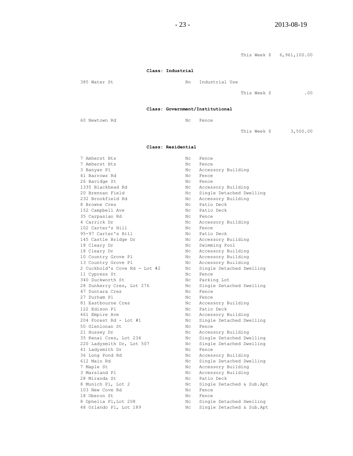$-23 - 2013-08-19$ 

This Week \$ 6,961,100.00 **Class: Industrial** 385 Water St **Rn** Industrial Use This Week \$ .00 **Class: Government/Institutional** 60 Newtown Rd No Nc Fence This Week \$ 3,500.00 **Class: Residential** 7 Amherst Hts Nc Fence 7 Amherst Hts Nc Fence 3 Banyan Pl<br>
41 Barrows Rd<br>
20 No Fence 41 Barrows Rd 26 Bavidge St<br>
1335 Blackhead Rd<br>
20 Brennan Field<br>
20 Brennan Field<br>
No Single Nc Accessory Building 20 Brennan Field No Single Detached Dwelling 232 Brookfield Rd Nc Accessory Building 8 Browne Cres Nc Patio Deck<br>152 Campbell Ave Nc Patio Deck 152 Campbell Ave 35 Carpasian Rd Nc Fence 4 Carrick Dr Nc Accessory Building 102 Carter's Hill Nc Fence 102 Carter's Hill NC Fence 95-97 Carter's Hill MC Patio Deck 102 Carter's niii<br>95–97 Carter's Hill Nc Patio Deck<br>145 Castle Bridge Dr Nc Accessory Building 145 Castle Dirago Die<br>18 Cleary Dr Nc Swimming Pool<br>Nc Accessory Buil 18 Cleary Dr Nc Accessory Building 10 Country Grove Pl Nc Accessory Building 13 Country Grove Pl Nc Accessory Building 2 Cuckhold's Cove Rd - Lot #2 Nc Single Detached Dwelling 11 Cypress St Nc Fence 340 Duckworth St No Rarking Lot 28 Dunkerry Cres, Lot 276 Nc Single Detached Dwelling 47 Duntara Cres Nc Fence 27 Durham Pl Nc Fence 81 Eastbourne Cres No. 1986 No. 2013 No. 2013 122 Edison Pl **No. 128** Nc Patio Deck 461 Empire Ave **No. 2018** Nc Accessory Building 204 Forest Rd - Lot #1 Nc Single Detached Dwelling 50 Glenlonan St Nc Fence 21 Hussey Dr No Recessory Building 35 Kenai Cres, Lot 234 Nc Single Detached Dwelling 220 Ladysmith Dr, Lot 507 Nc Single Detached Dwelling 41 Ladysmith Dr Nc Fence 36 Long Pond Rd No Nc Accessory Building 612 Main Rd Nc Single Detached Dwelling 7 Maple St Nc Accessory Building 3 Marsland Pl **No. 2018** Nc Accessory Building 28 Miranda St Nc Patio Deck Nc Single Detached & Sub.Apt 8 Munich P1, Lot 2 Nc Single<br>103 New Cove Rd Nc Fence

18 Oberon St Nc Fence

8 Ophelia Pl, Lot 208 Nc Single Detached Dwelling 48 Orlando Pl, Lot 189 Nc Single Detached & Sub.Apt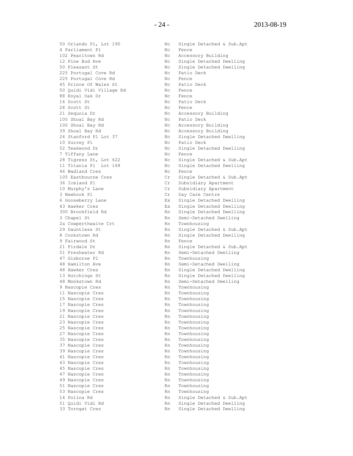4 Parliament Pl Nc Fence 102 Pearltown Rd Nc Accessory Building 225 Portugal Cove Rd<br>
225 Portugal Cove Rd<br>
45 Prince Of Wales St<br>
225 Portugal Cove Rd<br>
225 Portugal Cove Rd<br>
225 Portugal Cove Rd<br>
225 Portugal Cove Rd<br>
225 Portugal Cove Rd<br>
225 Portugal Cove Rd<br>
225 Portugal Cove Rd<br>
2 225 Portugal Cove Rd 45 Prince Of Wales St Mc Patio 50 Quidi Vidi Village Rd Mc Rence 50 Quidi Vidi Village Rd Nc Fence 88 Royal Oak Dr Nc Fence 16 Scott St Nc Patio Deck 28 Scott St Nc Fence 21 Sequoia Dr Nc Accessory Building 100 Shoal Bay Rd No Nc Patio Deck 100 Shoal Bay Rd No Nc Accessory Building 39 Shoal Bay Rd No National Bay Rd Nc Accessory Building 10 Surrey Pl **No. 10 Surrey Pl** Nc Patio Deck 7 Tiffany Lane Nc Fence 46 Wadland Cres No. 2016 No. 2016 3 Newhook Pl Cr Day Care Centre 2a Cowperthwaite Crt Rn Rn Townhousing 9 Fairwood St Rn Fence 47 Gisborne Pl **Rn** Townhousing 9 Nascopie Cres Rn Townhousing 11 Nascopie Cres Rn Townhousing 15 Nascopie Cres and Townhousing 17 Nascopie Cres Rn Townhousing 19 Nascopie Cres **RACIO** Rn Townhousing 21 Nascopie Cres Rn Townhousing 23 Nascopie Cres Rn Townhousing 25 Nascopie Cres and Townhousing 27 Nascopie Cres and Townhousing 35 Nascopie Cres Rn Townhousing 37 Nascopie Cres Rn Townhousing 39 Nascopie Cres Rn Rn Townhousing 41 Nascopie Cres and Townhousing 43 Nascopie Cres and Rn Townhousing 45 Nascopie Cres and Rn Townhousing 47 Nascopie Cres Rn Townhousing 49 Nascopie Cres and Townhousing 51 Nascopie Cres and Townhousing 53 Nascopie Cres Rn Rn Townhousing

50 Orlando Pl, Lot 190 Nc Single Detached & Sub.Apt Nc Single Detached Dwelling 50 Pleasant St<br>
225 Portugal Cove Rd

225 Portugal Cove Rd

225 Portugal Cove Rd

225 Portugal Cove Rd

225 Portugal Cove Rd

225 Portugal Cove Rd

225 Portugal Cove Rd

225 Portugal Cove Rd

225 Portugal Cove Rd

225 Port 24 Stanford Pl Lot 37 Nc Single Detached Dwelling 52 Teakwood Dr Nc Single Detached Dwelling 28 Tigress St, Lot 622 Nc Single Detached & Sub.Apt 11 Titania Pl Lot 168 Nc Single Detached Dwelling 105 Eastbourne Cres Cr Single Detached & Sub.Apt 36 Iceland Pl Cr Subsidiary Apartment Cr Subsidiary Apartment 6 Gooseberry Lane Ex Single Detached Dwelling 43 Hawker Cres Ex Single Detached Dwelling 300 Brookfield Rd **Rn** Single Detached Dwelling 3 Chapel St **Rn** Semi-Detached Dwelling 29 Dauntless St **Rn** Single Detached & Sub.Apt 8 Cookstown Rd **Rn** Single Detached Dwelling 21 Firdale Dr Rn Single Detached & Sub.Apt 51 Freshwater Rd Rn Semi-Detached Dwelling 48 Hamilton Ave **Rn** Semi-Detached Dwelling 48 Hawker Cres The Rn Single Detached Dwelling 13 Hutchings St Rn Single Detached Dwelling 48 Monkstown Rd Rn Semi-Detached Dwelling 14 Polina Rd Rn Single Detached & Sub.Apt 51 Quidi Vidi Rd Rn Single Detached Dwelling 33 Torngat Cres Rn Single Detached Dwelling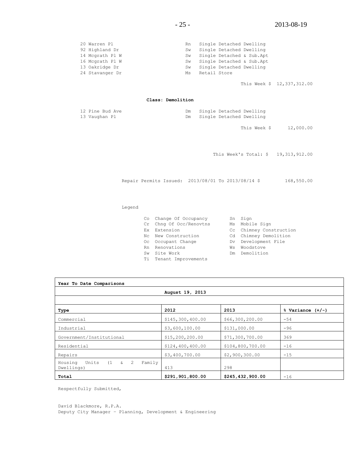| 20 Warren Pl    | Rn |              | Single Detached Dwelling |                           |
|-----------------|----|--------------|--------------------------|---------------------------|
| 92 Highland Dr  | Sw |              | Single Detached Dwelling |                           |
| 14 Mcgrath Pl W | Sw |              |                          | Single Detached & Sub.Apt |
| 16 Mcgrath Pl W | Sw |              |                          | Single Detached & Sub.Apt |
| 13 Oakridge Dr  | Sw |              | Single Detached Dwelling |                           |
| 24 Stavanger Dr | Ms | Retail Store |                          |                           |

This Week \$ 12,337,312.00

#### **Class: Demolition**

| 12 Pine Bud Ave |  | Single Detached Dwelling |  |
|-----------------|--|--------------------------|--|
| 13 Vaughan Pl   |  | Single Detached Dwelling |  |

This Week \$ 12,000.00

This Week's Total: \$ 19,313,912.00

Repair Permits Issued: 2013/08/01 To 2013/08/14 \$ 168,550.00

#### Legend

|    | Co Change Of Occupancy  |    | Sn Sign                 |
|----|-------------------------|----|-------------------------|
|    | Cr Chng Of Occ/Renovtns |    | Ms Mobile Sign          |
|    | Ex Extension            |    | Cc Chimney Construction |
|    | No New Construction     |    | Cd Chimney Demolition   |
|    | Oc Occupant Change      |    | Dv Development File     |
|    | Rn Renovations          | Ws | Woodstove               |
| Sw | Site Work               |    | Dm Demolition           |
|    | Ti Tenant Improvements  |    |                         |

| Year To Date Comparisons                                          |                  |                  |                      |  |  |
|-------------------------------------------------------------------|------------------|------------------|----------------------|--|--|
|                                                                   | August 19, 2013  |                  |                      |  |  |
|                                                                   |                  |                  |                      |  |  |
| Type                                                              | 2012             | 2013             | $%$ Variance $(+/-)$ |  |  |
| Commercial                                                        | \$145,300,400.00 | \$66,300,200.00  | $-54$                |  |  |
| Industrial                                                        | \$3,600,100.00   | \$131,000.00     | $-96$                |  |  |
| Government/Institutional                                          | \$15,200,200.00  | \$71,300,700.00  | 369                  |  |  |
| Residential                                                       | \$124,400,400.00 | \$104,800,700.00 | $-16$                |  |  |
| Repairs                                                           | \$3,400,700.00   | \$2,900,300.00   | $-15$                |  |  |
| Units<br>$(1 \quad \& \quad 2$<br>Family<br>Housing<br>Dwellings) | 413              | 298              |                      |  |  |
| Total                                                             | \$291,901,800.00 | \$245,432,900.00 | $-16$                |  |  |

Respectfully Submitted,

David Blackmore, R.P.A. Deputy City Manager – Planning, Development & Engineering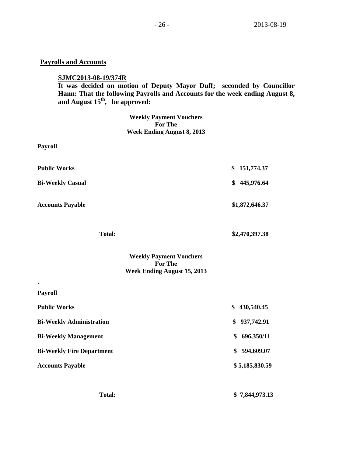## **Payrolls and Accounts**

## **SJMC2013-08-19/374R**

**It was decided on motion of Deputy Mayor Duff; seconded by Councillor Hann: That the following Payrolls and Accounts for the week ending August 8, and August 15th , be approved:**

> **Weekly Payment Vouchers For The Week Ending August 8, 2013**

| <b>Payroll</b>                                                                         |                  |
|----------------------------------------------------------------------------------------|------------------|
| <b>Public Works</b>                                                                    | \$<br>151,774.37 |
| <b>Bi-Weekly Casual</b>                                                                | \$<br>445,976.64 |
| <b>Accounts Payable</b>                                                                | \$1,872,646.37   |
| <b>Total:</b>                                                                          | \$2,470,397.38   |
| <b>Weekly Payment Vouchers</b><br><b>For The</b><br><b>Week Ending August 15, 2013</b> |                  |
| $\overline{\phantom{0}}$<br>Payroll                                                    |                  |
| <b>Public Works</b>                                                                    | \$<br>430,540.45 |
| <b>Bi-Weekly Administration</b>                                                        | 937,742.91<br>\$ |
| <b>Bi-Weekly Management</b>                                                            | 696,350/11<br>\$ |
| <b>Bi-Weekly Fire Department</b>                                                       | \$<br>594.609.07 |
| <b>Accounts Payable</b>                                                                | \$5,185,830.59   |
| <b>Total:</b>                                                                          | \$7,844,973.13   |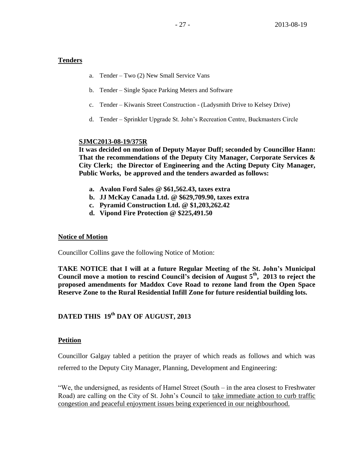## **Tenders**

- a. Tender Two (2) New Small Service Vans
- b. Tender Single Space Parking Meters and Software
- c. Tender Kiwanis Street Construction (Ladysmith Drive to Kelsey Drive)
- d. Tender Sprinkler Upgrade St. John's Recreation Centre, Buckmasters Circle

## **SJMC2013-08-19/375R**

**It was decided on motion of Deputy Mayor Duff; seconded by Councillor Hann: That the recommendations of the Deputy City Manager, Corporate Services & City Clerk; the Director of Engineering and the Acting Deputy City Manager, Public Works, be approved and the tenders awarded as follows:**

- **a. Avalon Ford Sales @ \$61,562.43, taxes extra**
- **b. JJ McKay Canada Ltd. @ \$629,709.90, taxes extra**
- **c. Pyramid Construction Ltd. @ \$1,203,262.42**
- **d. Vipond Fire Protection @ \$225,491.50**

## **Notice of Motion**

Councillor Collins gave the following Notice of Motion:

**TAKE NOTICE that I will at a future Regular Meeting of the St. John's Municipal Council move a motion to rescind Council's decision of August 5th , 2013 to reject the proposed amendments for Maddox Cove Road to rezone land from the Open Space Reserve Zone to the Rural Residential Infill Zone for future residential building lots.** 

# **DATED THIS 19th DAY OF AUGUST, 2013**

## **Petition**

Councillor Galgay tabled a petition the prayer of which reads as follows and which was referred to the Deputy City Manager, Planning, Development and Engineering:

"We, the undersigned, as residents of Hamel Street (South – in the area closest to Freshwater Road) are calling on the City of St. John's Council to take immediate action to curb traffic congestion and peaceful enjoyment issues being experienced in our neighbourhood.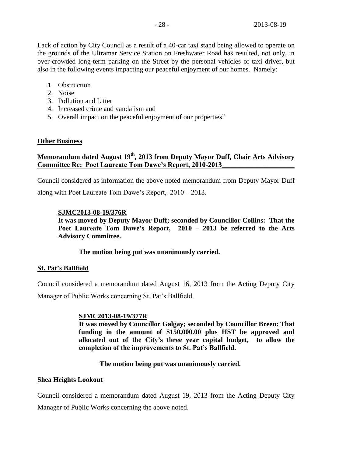Lack of action by City Council as a result of a 40-car taxi stand being allowed to operate on the grounds of the Ultramar Service Station on Freshwater Road has resulted, not only, in over-crowded long-term parking on the Street by the personal vehicles of taxi driver, but also in the following events impacting our peaceful enjoyment of our homes. Namely:

- 1. Obstruction
- 2. Noise
- 3. Pollution and Litter
- 4. Increased crime and vandalism and
- 5. Overall impact on the peaceful enjoyment of our properties"

#### **Other Business**

## **Memorandum dated August 19th, 2013 from Deputy Mayor Duff, Chair Arts Advisory Committee Re: Poet Laureate Tom Dawe's Report, 2010-2013\_\_\_\_\_\_\_\_\_\_\_\_\_\_\_\_\_\_\_\_\_**

Council considered as information the above noted memorandum from Deputy Mayor Duff along with Poet Laureate Tom Dawe's Report, 2010 – 2013.

## **SJMC2013-08-19/376R**

**It was moved by Deputy Mayor Duff; seconded by Councillor Collins: That the Poet Laureate Tom Dawe's Report, 2010 – 2013 be referred to the Arts Advisory Committee.**

## **The motion being put was unanimously carried.**

## **St. Pat's Ballfield**

Council considered a memorandum dated August 16, 2013 from the Acting Deputy City Manager of Public Works concerning St. Pat's Ballfield.

#### **SJMC2013-08-19/377R**

**It was moved by Councillor Galgay; seconded by Councillor Breen: That funding in the amount of \$150,000.00 plus HST be approved and allocated out of the City's three year capital budget, to allow the completion of the improvements to St. Pat's Ballfield.**

## **The motion being put was unanimously carried.**

#### **Shea Heights Lookout**

Council considered a memorandum dated August 19, 2013 from the Acting Deputy City

Manager of Public Works concerning the above noted.